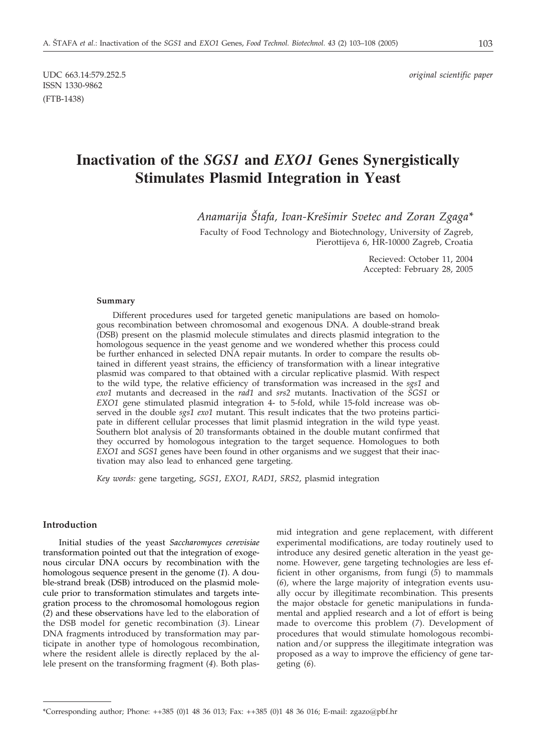UDC 663.14:579.252.5 *original scientific paper*

# ISSN 1330-9862 (FTB-1438)

# **Inactivation of the** *SGS1* **and** *EXO1* **Genes Synergistically Stimulates Plasmid Integration in Yeast**

*Anamarija [tafa, Ivan-Kre{imir Svetec and Zoran Zgaga\**

Faculty of Food Technology and Biotechnology, University of Zagreb, Pierottijeva 6, HR-10000 Zagreb, Croatia

> Recieved: October 11, 2004 Accepted: February 28, 2005

#### **Summary**

Different procedures used for targeted genetic manipulations are based on homologous recombination between chromosomal and exogenous DNA. A double-strand break (DSB) present on the plasmid molecule stimulates and directs plasmid integration to the homologous sequence in the yeast genome and we wondered whether this process could be further enhanced in selected DNA repair mutants. In order to compare the results obtained in different yeast strains, the efficiency of transformation with a linear integrative plasmid was compared to that obtained with a circular replicative plasmid. With respect to the wild type, the relative efficiency of transformation was increased in the *sgs1* and *exo1* mutants and decreased in the *rad1* and *srs2* mutants. Inactivation of the *SGS1* or *EXO1* gene stimulated plasmid integration 4- to 5-fold, while 15-fold increase was observed in the double *sgs1 exo1* mutant. This result indicates that the two proteins participate in different cellular processes that limit plasmid integration in the wild type yeast. Southern blot analysis of 20 transformants obtained in the double mutant confirmed that they occurred by homologous integration to the target sequence. Homologues to both *EXO1* and *SGS1* genes have been found in other organisms and we suggest that their inactivation may also lead to enhanced gene targeting.

*Key words:* gene targeting, *SGS1*, *EXO1*, *RAD1*, *SRS2*, plasmid integration

## **Introduction**

Initial studies of the yeast *Saccharomyces cerevisiae* transformation pointed out that the integration of exogenous circular DNA occurs by recombination with the homologous sequence present in the genome (*1*). A double-strand break (DSB) introduced on the plasmid molecule prior to transformation stimulates and targets integration process to the chromosomal homologous region (*2*) and these observations have led to the elaboration of the DSB model for genetic recombination (*3*). Linear DNA fragments introduced by transformation may participate in another type of homologous recombination, where the resident allele is directly replaced by the allele present on the transforming fragment (*4*). Both plasmid integration and gene replacement, with different experimental modifications, are today routinely used to introduce any desired genetic alteration in the yeast genome. However, gene targeting technologies are less efficient in other organisms, from fungi (*5*) to mammals (*6*), where the large majority of integration events usually occur by illegitimate recombination. This presents the major obstacle for genetic manipulations in fundamental and applied research and a lot of effort is being made to overcome this problem (*7*). Development of procedures that would stimulate homologous recombination and/or suppress the illegitimate integration was proposed as a way to improve the efficiency of gene targeting (*6*).

<sup>\*</sup>Corresponding author; Phone: ++385 (0)1 48 36 013; Fax: ++385 (0)1 48 36 016; E-mail: zgazo*@*pbf.hr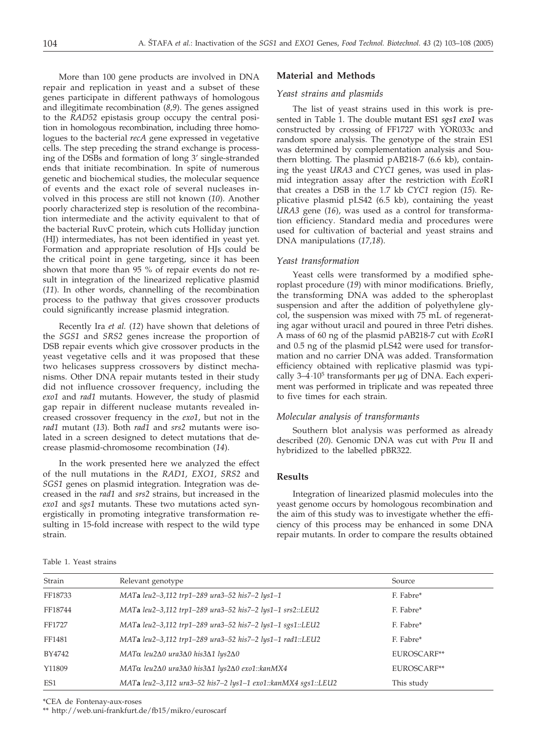More than 100 gene products are involved in DNA repair and replication in yeast and a subset of these genes participate in different pathways of homologous and illegitimate recombination (*8,9*). The genes assigned to the *RAD52* epistasis group occupy the central position in homologous recombination, including three homologues to the bacterial *recA* gene expressed in vegetative cells. The step preceding the strand exchange is processing of the DSBs and formation of long 3' single-stranded ends that initiate recombination. In spite of numerous genetic and biochemical studies, the molecular sequence of events and the exact role of several nucleases involved in this process are still not known (*10*). Another poorly characterized step is resolution of the recombination intermediate and the activity equivalent to that of the bacterial RuvC protein, which cuts Holliday junction (HJ) intermediates, has not been identified in yeast yet. Formation and appropriate resolution of HJs could be the critical point in gene targeting, since it has been shown that more than 95 % of repair events do not result in integration of the linearized replicative plasmid (*11*). In other words, channelling of the recombination process to the pathway that gives crossover products could significantly increase plasmid integration.

Recently Ira *et al.* (*12*) have shown that deletions of the *SGS1* and *SRS2* genes increase the proportion of DSB repair events which give crossover products in the yeast vegetative cells and it was proposed that these two helicases suppress crossovers by distinct mechanisms. Other DNA repair mutants tested in their study did not influence crossover frequency, including the *exo1* and *rad1* mutants. However, the study of plasmid gap repair in different nuclease mutants revealed increased crossover frequency in the *exo1*, but not in the *rad1* mutant (*13*). Both *rad1* and *srs2* mutants were isolated in a screen designed to detect mutations that decrease plasmid-chromosome recombination (*14*).

In the work presented here we analyzed the effect of the null mutations in the *RAD1*, *EXO1*, *SRS2* and *SGS1* genes on plasmid integration. Integration was decreased in the *rad1* and *srs2* strains, but increased in the *exo1* and *sgs1* mutants. These two mutations acted synergistically in promoting integrative transformation resulting in 15-fold increase with respect to the wild type strain.

#### **Material and Methods**

#### *Yeast strains and plasmids*

The list of yeast strains used in this work is presented in Table 1. The double mutant ES1 *sgs1 exo1* was constructed by crossing of FF1727 with YOR033c and random spore analysis. The genotype of the strain ES1 was determined by complementation analysis and Southern blotting. The plasmid pAB218-7 (6.6 kb), containing the yeast *URA3* and *CYC1* genes, was used in plasmid integration assay after the restriction with *Eco*RI that creates a DSB in the 1.7 kb *CYC1* region (*15*). Replicative plasmid pLS42 (6.5 kb), containing the yeast *URA3* gene (*16*), was used as a control for transformation efficiency. Standard media and procedures were used for cultivation of bacterial and yeast strains and DNA manipulations (*17,18*).

#### *Yeast transformation*

Yeast cells were transformed by a modified spheroplast procedure (*19*) with minor modifications. Briefly, the transforming DNA was added to the spheroplast suspension and after the addition of polyethylene glycol, the suspension was mixed with 75 mL of regenerating agar without uracil and poured in three Petri dishes. A mass of 60 ng of the plasmid pAB218-7 cut with *Eco*RI and 0.5 ng of the plasmid pLS42 were used for transformation and no carrier DNA was added. Transformation efficiency obtained with replicative plasmid was typically  $3-4.10^5$  transformants per  $\mu$ g of DNA. Each experiment was performed in triplicate and was repeated three to five times for each strain.

# *Molecular analysis of transformants*

Southern blot analysis was performed as already described (*20*). Genomic DNA was cut with *Pvu* II and hybridized to the labelled pBR322.

# **Results**

Integration of linearized plasmid molecules into the yeast genome occurs by homologous recombination and the aim of this study was to investigate whether the efficiency of this process may be enhanced in some DNA repair mutants. In order to compare the results obtained

Table 1. Yeast strains

| Strain  | Relevant genotype                                                                 | Source      |  |
|---------|-----------------------------------------------------------------------------------|-------------|--|
| FF18733 | MATa leu2-3,112 trp1-289 ura3-52 his7-2 lys1-1                                    | F. Fabre*   |  |
| FF18744 | MATa leu2-3,112 trp1-289 ura3-52 his7-2 lys1-1 srs2::LEU2                         | F. Fabre*   |  |
| FF1727  | MATa leu2-3,112 trp1-289 ura3-52 his7-2 lys1-1 sgs1::LEU2                         | F. Fabre*   |  |
| FF1481  | MATa leu2-3,112 trp1-289 ura3-52 his7-2 lys1-1 rad1::LEU2                         | F. Fabre*   |  |
| BY4742  | $MAT\alpha$ leu2 $\Delta$ 0 ura3 $\Delta$ 0 his3 $\Delta$ 1 lys2 $\Delta$ 0       | EUROSCARF** |  |
| Y11809  | MATα leu2 $\Delta$ 0 ura3 $\Delta$ 0 his3 $\Delta$ 1 lys2 $\Delta$ 0 exo1::kanMX4 | EUROSCARF** |  |
| ES1     | MATa leu2-3,112 ura3-52 his7-2 lys1-1 exo1::kanMX4 sgs1::LEU2                     | This study  |  |

\*CEA de Fontenay-aux-roses

\*\* http://web.uni-frankfurt.de/fb15/mikro/euroscarf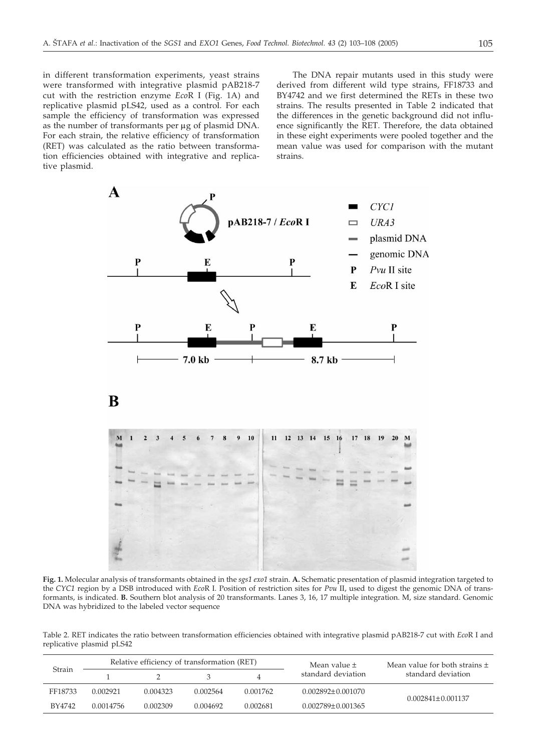in different transformation experiments, yeast strains were transformed with integrative plasmid pAB218-7 cut with the restriction enzyme *Eco*R I (Fig. 1A) and replicative plasmid pLS42, used as a control. For each sample the efficiency of transformation was expressed as the number of transformants per  $\mu$ g of plasmid DNA. For each strain, the relative efficiency of transformation (RET) was calculated as the ratio between transformation efficiencies obtained with integrative and replicative plasmid.

The DNA repair mutants used in this study were derived from different wild type strains, FF18733 and BY4742 and we first determined the RETs in these two strains. The results presented in Table 2 indicated that the differences in the genetic background did not influence significantly the RET. Therefore, the data obtained in these eight experiments were pooled together and the mean value was used for comparison with the mutant strains.



**Fig. 1.** Molecular analysis of transformants obtained in the *sgs1 exo1* strain. **A.** Schematic presentation of plasmid integration targeted to the *CYC1* region by a DSB introduced with *Eco*R I. Position of restriction sites for *Pvu* II, used to digest the genomic DNA of transformants, is indicated. **B.** Southern blot analysis of 20 transformants. Lanes 3, 16, 17 multiple integration. M, size standard. Genomic DNA was hybridized to the labeled vector sequence

Table 2. RET indicates the ratio between transformation efficiencies obtained with integrative plasmid pAB218-7 cut with *Eco*R I and replicative plasmid pLS42

| Strain  | Relative efficiency of transformation (RET) |          |          |          | Mean value $\pm$        | Mean value for both strains $\pm$ |
|---------|---------------------------------------------|----------|----------|----------|-------------------------|-----------------------------------|
|         |                                             |          |          | 4        | standard deviation      | standard deviation                |
| FF18733 | 0.002921                                    | 0.004323 | 0.002564 | 0.001762 | $0.002892 \pm 0.001070$ | $0.002841 \pm 0.001137$           |
| BY4742  | 0.0014756                                   | 0.002309 | 0.004692 | 0.002681 | $0.002789 \pm 0.001365$ |                                   |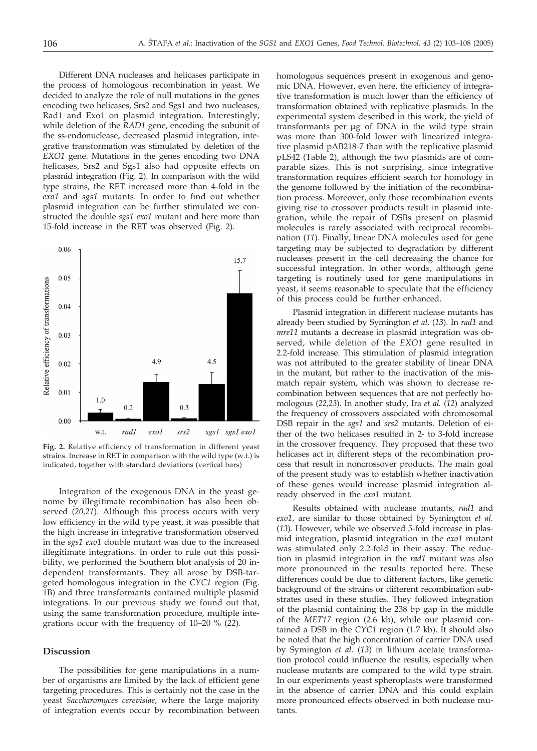Different DNA nucleases and helicases participate in the process of homologous recombination in yeast. We decided to analyze the role of null mutations in the genes encoding two helicases, Srs2 and Sgs1 and two nucleases, Rad1 and Exo1 on plasmid integration. Interestingly, while deletion of the *RAD1* gene, encoding the subunit of the ss-endonuclease, decreased plasmid integration, integrative transformation was stimulated by deletion of the *EXO1* gene. Mutations in the genes encoding two DNA helicases, Srs2 and Sgs1 also had opposite effects on plasmid integration (Fig. 2). In comparison with the wild type strains, the RET increased more than 4-fold in the *exo1* and *sgs1* mutants. In order to find out whether plasmid integration can be further stimulated we constructed the double *sgs1 exo1* mutant and here more than 15-fold increase in the RET was observed (Fig. 2).



**Fig. 2.** Relative efficiency of transformation in different yeast strains. Increase in RET in comparison with the wild type (w.t.) is indicated, together with standard deviations (vertical bars)

Integration of the exogenous DNA in the yeast genome by illegitimate recombination has also been observed (*20,21*). Although this process occurs with very low efficiency in the wild type yeast, it was possible that the high increase in integrative transformation observed in the *sgs1 exo1* double mutant was due to the increased illegitimate integrations. In order to rule out this possibility, we performed the Southern blot analysis of 20 independent transformants. They all arose by DSB-targeted homologous integration in the *CYC1* region (Fig. 1B) and three transformants contained multiple plasmid integrations. In our previous study we found out that, using the same transformation procedure, multiple integrations occur with the frequency of 10–20 % (*22*).

# **Discussion**

The possibilities for gene manipulations in a number of organisms are limited by the lack of efficient gene targeting procedures. This is certainly not the case in the yeast *Saccharomyces cerevisiae,* where the large majority of integration events occur by recombination between

homologous sequences present in exogenous and genomic DNA. However, even here, the efficiency of integrative transformation is much lower than the efficiency of transformation obtained with replicative plasmids. In the experimental system described in this work, the yield of  $transformants$  per  $\mu$ g of DNA in the wild type strain was more than 300-fold lower with linearized integrative plasmid pAB218-7 than with the replicative plasmid pLS42 (Table 2), although the two plasmids are of comparable sizes. This is not surprising, since integrative transformation requires efficient search for homology in the genome followed by the initiation of the recombination process. Moreover, only those recombination events giving rise to crossover products result in plasmid integration, while the repair of DSBs present on plasmid molecules is rarely associated with reciprocal recombination (*11*). Finally, linear DNA molecules used for gene targeting may be subjected to degradation by different nucleases present in the cell decreasing the chance for successful integration. In other words, although gene targeting is routinely used for gene manipulations in yeast, it seems reasonable to speculate that the efficiency of this process could be further enhanced.

Plasmid integration in different nuclease mutants has already been studied by Symington *et al*. (*13*). In *rad1* and *mre11* mutants a decrease in plasmid integration was observed, while deletion of the *EXO1* gene resulted in 2.2-fold increase. This stimulation of plasmid integration was not attributed to the greater stability of linear DNA in the mutant, but rather to the inactivation of the mismatch repair system, which was shown to decrease recombination between sequences that are not perfectly homologous (*22,23*). In another study, Ira *et al.* (*12*) analyzed the frequency of crossovers associated with chromosomal DSB repair in the *sgs1* and *srs2* mutants. Deletion of either of the two helicases resulted in 2- to 3-fold increase in the crossover frequency. They proposed that these two helicases act in different steps of the recombination process that result in noncrossover products. The main goal of the present study was to establish whether inactivation of these genes would increase plasmid integration already observed in the *exo1* mutant.

Results obtained with nuclease mutants, *rad1* and *exo1*, are similar to those obtained by Symington *et al.* (*13*). However, while we observed 5-fold increase in plasmid integration, plasmid integration in the *exo1* mutant was stimulated only 2.2-fold in their assay. The reduction in plasmid integration in the *rad1* mutant was also more pronounced in the results reported here. These differences could be due to different factors, like genetic background of the strains or different recombination substrates used in these studies. They followed integration of the plasmid containing the 238 bp gap in the middle of the *MET17* region (2.6 kb), while our plasmid contained a DSB in the *CYC1* region (1.7 kb). It should also be noted that the high concentration of carrier DNA used by Symington *et al.* (*13*) in lithium acetate transformation protocol could influence the results, especially when nuclease mutants are compared to the wild type strain. In our experiments yeast spheroplasts were transformed in the absence of carrier DNA and this could explain more pronounced effects observed in both nuclease mutants.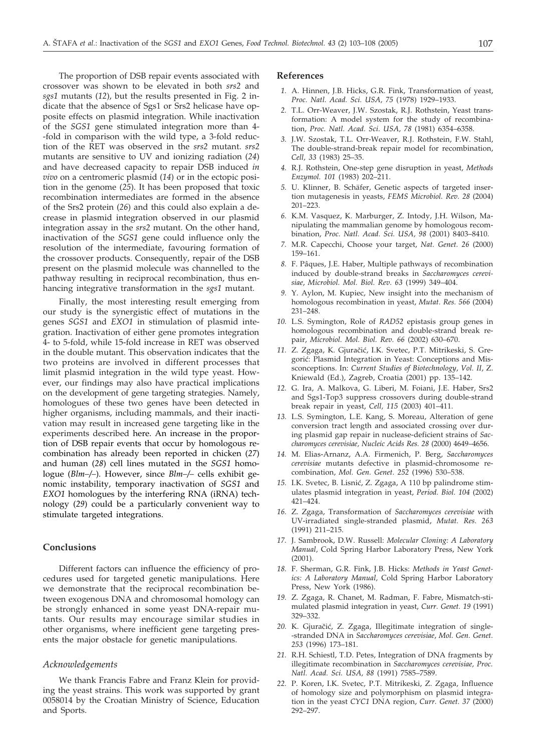The proportion of DSB repair events associated with crossover was shown to be elevated in both *srs2* and *sgs1* mutants (*12*), but the results presented in Fig. 2 indicate that the absence of Sgs1 or Srs2 helicase have opposite effects on plasmid integration. While inactivation of the *SGS1* gene stimulated integration more than 4- -fold in comparison with the wild type, a 3-fold reduction of the RET was observed in the *srs2* mutant. *srs2* mutants are sensitive to UV and ionizing radiation (*24*) and have decreased capacity to repair DSB induced *in vivo* on a centromeric plasmid (*14*) or in the ectopic position in the genome (*25*). It has been proposed that toxic recombination intermediates are formed in the absence of the Srs2 protein (*26*) and this could also explain a decrease in plasmid integration observed in our plasmid integration assay in the *srs2* mutant. On the other hand, inactivation of the *SGS1* gene could influence only the resolution of the intermediate, favouring formation of the crossover products. Consequently, repair of the DSB present on the plasmid molecule was channelled to the pathway resulting in reciprocal recombination, thus enhancing integrative transformation in the *sgs1* mutant.

Finally, the most interesting result emerging from our study is the synergistic effect of mutations in the genes *SGS1* and *EXO1* in stimulation of plasmid integration. Inactivation of either gene promotes integration 4- to 5-fold, while 15-fold increase in RET was observed in the double mutant. This observation indicates that the two proteins are involved in different processes that limit plasmid integration in the wild type yeast. However, our findings may also have practical implications on the development of gene targeting strategies. Namely, homologues of these two genes have been detected in higher organisms, including mammals, and their inactivation may result in increased gene targeting like in the experiments described here. An increase in the proportion of DSB repair events that occur by homologous recombination has already been reported in chicken (*27*) and human (*28*) cell lines mutated in the *SGS1* homologue (*Blm–/–*). However, since *Blm–/–* cells exhibit genomic instability, temporary inactivation of *SGS1* and *EXO1* homologues by the interfering RNA (iRNA) technology (*29*) could be a particularly convenient way to stimulate targeted integrations.

# **Conclusions**

Different factors can influence the efficiency of procedures used for targeted genetic manipulations. Here we demonstrate that the reciprocal recombination between exogenous DNA and chromosomal homology can be strongly enhanced in some yeast DNA-repair mutants. Our results may encourage similar studies in other organisms, where inefficient gene targeting presents the major obstacle for genetic manipulations.

## *Acknowledgements*

We thank Francis Fabre and Franz Klein for providing the yeast strains. This work was supported by grant 0058014 by the Croatian Ministry of Science, Education and Sports.

#### **References**

- *1.* A. Hinnen, J.B. Hicks, G.R. Fink, Transformation of yeast, *Proc. Natl. Acad. Sci. USA, 75* (1978) 1929–1933.
- *2.* T.L. Orr-Weaver, J.W. Szostak, R.J. Rothstein, Yeast transformation: A model system for the study of recombination, *Proc. Natl. Acad. Sci. USA, 78* (1981) 6354–6358.
- *3.* J.W. Szostak, T.L. Orr-Weaver, R.J. Rothstein, F.W. Stahl, The double-strand-break repair model for recombination, *Cell, 33* (1983) 25–35.
- *4.* R.J. Rothstein, One-step gene disruption in yeast, *Methods Enzymol. 101* (1983) 202–211.
- *5.* U. Klinner, B. Schäfer, Genetic aspects of targeted insertion mutagenesis in yeasts, *FEMS Microbiol. Rev. 28* (2004) 201–223.
- *6.* K.M. Vasquez, K. Marburger, Z. Intody, J.H. Wilson, Manipulating the mammalian genome by homologous recombination, *Proc. Natl. Acad. Sci. USA, 98* (2001) 8403–8410.
- *7.* M.R. Capecchi, Choose your target, *Nat. Genet. 26* (2000) 159–161.
- *8.* F. Pâques, J.E. Haber, Multiple pathways of recombination induced by double-strand breaks in *Saccharomyces cerevisiae*, *Microbiol. Mol. Biol. Rev. 63* (1999) 349–404.
- *9.* Y. Aylon, M. Kupiec, New insight into the mechanism of homologous recombination in yeast, *Mutat. Res. 566* (2004) 231–248.
- *10.* L.S. Symington, Role of *RAD52* epistasis group genes in homologous recombination and double-strand break repair, *Microbiol. Mol. Biol. Rev. 66* (2002) 630–670.
- 11. Z. Zgaga, K. Gjuračić, I.K. Svetec, P.T. Mitrikeski, S. Gregorić: Plasmid Integration in Yeast: Conceptions and Missconceptions. In: *Current Studies of Biotechnology*, *Vol. II*, Z. Kniewald (Ed.), Zagreb, Croatia (2001) pp. 135–142.
- *12.* G. Ira, A. Malkova, G. Liberi, M. Foiani, J.E. Haber, Srs2 and Sgs1-Top3 suppress crossovers during double-strand break repair in yeast, *Cell, 115* (2003) 401–411.
- *13.* L.S. Symington, L.E. Kang, S. Moreau, Alteration of gene conversion tract length and associated crossing over during plasmid gap repair in nuclease-deficient strains of *Saccharomyces cerevisiae, Nucleic Acids Res. 28* (2000) 4649–4656.
- *14.* M. Elias-Arnanz, A.A. Firmenich, P. Berg, *Saccharomyces cerevisiae* mutants defective in plasmid-chromosome recombination, *Mol. Gen. Genet. 252* (1996) 530–538.
- 15. I.K. Svetec, B. Lisnić, Z. Zgaga, A 110 bp palindrome stimulates plasmid integration in yeast, *Period. Biol. 104* (2002) 421–424.
- *16.* Z. Zgaga, Transformation of *Saccharomyces cerevisiae* with UV-irradiated single-stranded plasmid, *Mutat. Res. 263* (1991) 211–215.
- *17.* J. Sambrook, D.W. Russell: *Molecular Cloning: A Laboratory Manual,* Cold Spring Harbor Laboratory Press, New York (2001).
- *18.* F. Sherman, G.R. Fink, J.B. Hicks: *Methods in Yeast Genetics: A Laboratory Manual,* Cold Spring Harbor Laboratory Press, New York (1986).
- *19.* Z. Zgaga, R. Chanet, M. Radman, F. Fabre, Mismatch-stimulated plasmid integration in yeast, *Curr. Genet. 19* (1991) 329–332.
- 20. K. Gjuračić, Z. Zgaga, Illegitimate integration of single--stranded DNA in *Saccharomyces cerevisiae*, *Mol. Gen. Genet. 253* (1996) 173–181.
- *21.* R.H. Schiestl, T.D. Petes, Integration of DNA fragments by illegitimate recombination in *Saccharomyces cerevisiae, Proc. Natl. Acad. Sci. USA, 88* (1991) 7585–7589.
- *22.* P. Koren, I.K. Svetec, P.T. Mitrikeski, Z. Zgaga, Influence of homology size and polymorphism on plasmid integration in the yeast *CYC1* DNA region, *Curr. Genet. 37* (2000) 292–297.